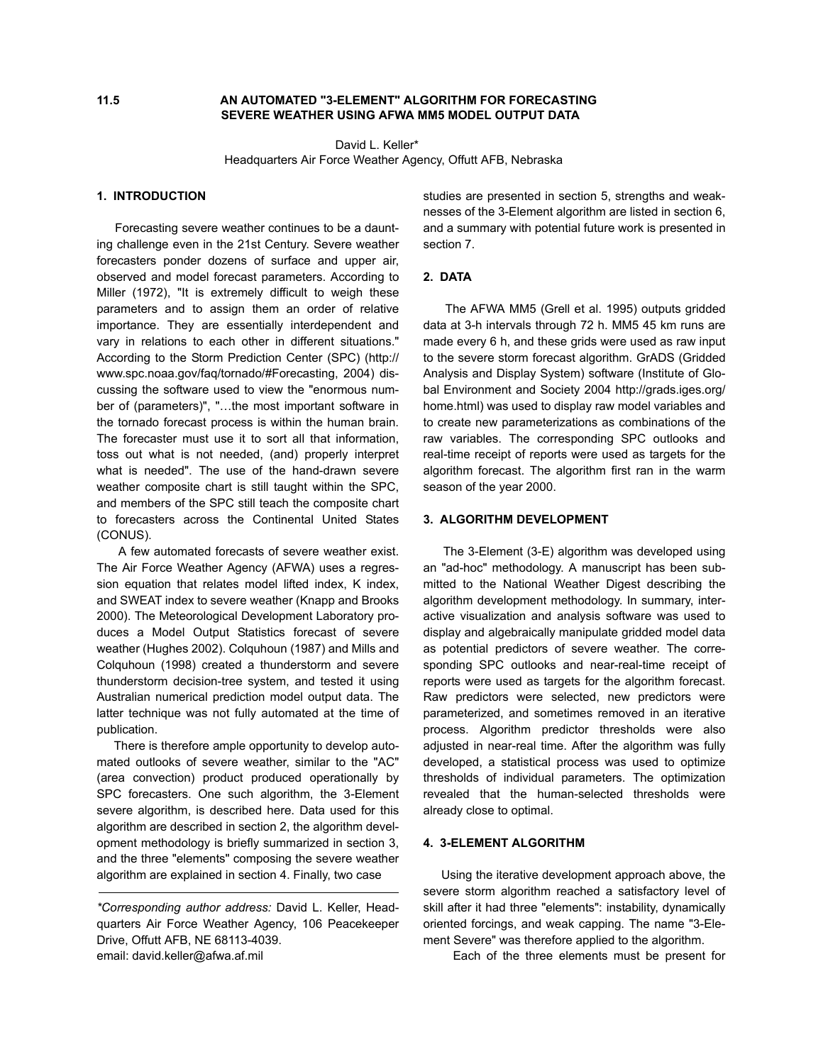## **11.5 AN AUTOMATED "3-ELEMENT" ALGORITHM FOR FORECASTING SEVERE WEATHER USING AFWA MM5 MODEL OUTPUT DATA**

 David L. Keller\* Headquarters Air Force Weather Agency, Offutt AFB, Nebraska

#### **1. INTRODUCTION**

 Forecasting severe weather continues to be a daunting challenge even in the 21st Century. Severe weather forecasters ponder dozens of surface and upper air, observed and model forecast parameters. According to Miller (1972), "It is extremely difficult to weigh these parameters and to assign them an order of relative importance. They are essentially interdependent and vary in relations to each other in different situations." According to the Storm Prediction Center (SPC) (http:// www.spc.noaa.gov/faq/tornado/#Forecasting, 2004) discussing the software used to view the "enormous number of (parameters)", "…the most important software in the tornado forecast process is within the human brain. The forecaster must use it to sort all that information, toss out what is not needed, (and) properly interpret what is needed". The use of the hand-drawn severe weather composite chart is still taught within the SPC, and members of the SPC still teach the composite chart to forecasters across the Continental United States (CONUS).

 A few automated forecasts of severe weather exist. The Air Force Weather Agency (AFWA) uses a regression equation that relates model lifted index, K index, and SWEAT index to severe weather (Knapp and Brooks 2000). The Meteorological Development Laboratory produces a Model Output Statistics forecast of severe weather (Hughes 2002). Colquhoun (1987) and Mills and Colquhoun (1998) created a thunderstorm and severe thunderstorm decision-tree system, and tested it using Australian numerical prediction model output data. The latter technique was not fully automated at the time of publication.

 There is therefore ample opportunity to develop automated outlooks of severe weather, similar to the "AC" (area convection) product produced operationally by SPC forecasters. One such algorithm, the 3-Element severe algorithm, is described here. Data used for this algorithm are described in section 2, the algorithm development methodology is briefly summarized in section 3, and the three "elements" composing the severe weather algorithm are explained in section 4. Finally, two case

studies are presented in section 5, strengths and weaknesses of the 3-Element algorithm are listed in section 6, and a summary with potential future work is presented in section 7.

### **2. DATA**

 The AFWA MM5 (Grell et al. 1995) outputs gridded data at 3-h intervals through 72 h. MM5 45 km runs are made every 6 h, and these grids were used as raw input to the severe storm forecast algorithm. GrADS (Gridded Analysis and Display System) software (Institute of Global Environment and Society 2004 http://grads.iges.org/ home.html) was used to display raw model variables and to create new parameterizations as combinations of the raw variables. The corresponding SPC outlooks and real-time receipt of reports were used as targets for the algorithm forecast. The algorithm first ran in the warm season of the year 2000.

#### **3. ALGORITHM DEVELOPMENT**

 The 3-Element (3-E) algorithm was developed using an "ad-hoc" methodology. A manuscript has been submitted to the National Weather Digest describing the algorithm development methodology. In summary, interactive visualization and analysis software was used to display and algebraically manipulate gridded model data as potential predictors of severe weather. The corresponding SPC outlooks and near-real-time receipt of reports were used as targets for the algorithm forecast. Raw predictors were selected, new predictors were parameterized, and sometimes removed in an iterative process. Algorithm predictor thresholds were also adjusted in near-real time. After the algorithm was fully developed, a statistical process was used to optimize thresholds of individual parameters. The optimization revealed that the human-selected thresholds were already close to optimal.

### **4. 3-ELEMENT ALGORITHM**

 Using the iterative development approach above, the severe storm algorithm reached a satisfactory level of skill after it had three "elements": instability, dynamically oriented forcings, and weak capping. The name "3-Element Severe" was therefore applied to the algorithm.

Each of the three elements must be present for

*<sup>\*</sup>Corresponding author address:* David L. Keller, Headquarters Air Force Weather Agency, 106 Peacekeeper Drive, Offutt AFB, NE 68113-4039. email: david.keller@afwa.af.mil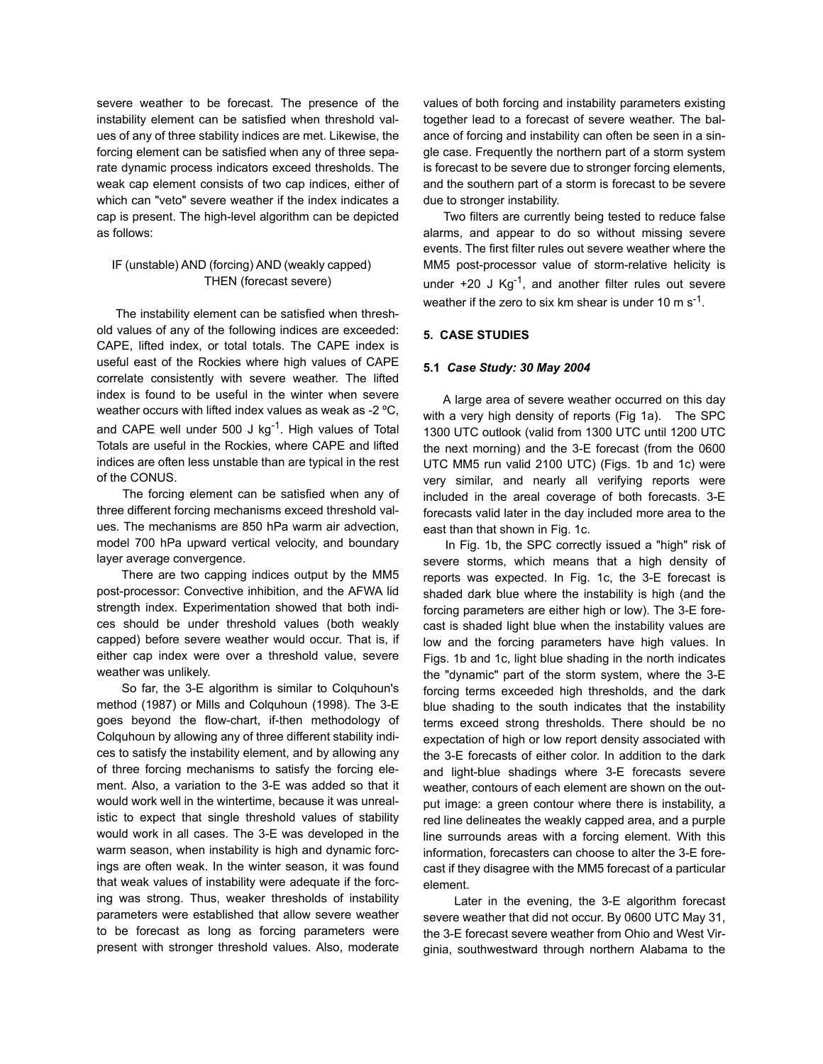severe weather to be forecast. The presence of the instability element can be satisfied when threshold values of any of three stability indices are met. Likewise, the forcing element can be satisfied when any of three separate dynamic process indicators exceed thresholds. The weak cap element consists of two cap indices, either of which can "veto" severe weather if the index indicates a cap is present. The high-level algorithm can be depicted as follows:

## IF (unstable) AND (forcing) AND (weakly capped) THEN (forecast severe)

 The instability element can be satisfied when threshold values of any of the following indices are exceeded: CAPE, lifted index, or total totals. The CAPE index is useful east of the Rockies where high values of CAPE correlate consistently with severe weather. The lifted index is found to be useful in the winter when severe weather occurs with lifted index values as weak as -2 ºC, and CAPE well under 500 J  $kg^{-1}$ . High values of Total Totals are useful in the Rockies, where CAPE and lifted indices are often less unstable than are typical in the rest of the CONUS.

 The forcing element can be satisfied when any of three different forcing mechanisms exceed threshold values. The mechanisms are 850 hPa warm air advection, model 700 hPa upward vertical velocity, and boundary layer average convergence.

 There are two capping indices output by the MM5 post-processor: Convective inhibition, and the AFWA lid strength index. Experimentation showed that both indices should be under threshold values (both weakly capped) before severe weather would occur. That is, if either cap index were over a threshold value, severe weather was unlikely.

 So far, the 3-E algorithm is similar to Colquhoun's method (1987) or Mills and Colquhoun (1998). The 3-E goes beyond the flow-chart, if-then methodology of Colquhoun by allowing any of three different stability indices to satisfy the instability element, and by allowing any of three forcing mechanisms to satisfy the forcing element. Also, a variation to the 3-E was added so that it would work well in the wintertime, because it was unrealistic to expect that single threshold values of stability would work in all cases. The 3-E was developed in the warm season, when instability is high and dynamic forcings are often weak. In the winter season, it was found that weak values of instability were adequate if the forcing was strong. Thus, weaker thresholds of instability parameters were established that allow severe weather to be forecast as long as forcing parameters were present with stronger threshold values. Also, moderate

values of both forcing and instability parameters existing together lead to a forecast of severe weather. The balance of forcing and instability can often be seen in a single case. Frequently the northern part of a storm system is forecast to be severe due to stronger forcing elements, and the southern part of a storm is forecast to be severe due to stronger instability.

 Two filters are currently being tested to reduce false alarms, and appear to do so without missing severe events. The first filter rules out severe weather where the MM5 post-processor value of storm-relative helicity is under  $+20$  J Kg<sup>-1</sup>, and another filter rules out severe weather if the zero to six km shear is under 10 m  $s^{-1}$ .

### **5. CASE STUDIES**

#### **5.1** *Case Study: 30 May 2004*

 A large area of severe weather occurred on this day with a very high density of reports (Fig 1a). The SPC 1300 UTC outlook (valid from 1300 UTC until 1200 UTC the next morning) and the 3-E forecast (from the 0600 UTC MM5 run valid 2100 UTC) (Figs. 1b and 1c) were very similar, and nearly all verifying reports were included in the areal coverage of both forecasts. 3-E forecasts valid later in the day included more area to the east than that shown in Fig. 1c.

 In Fig. 1b, the SPC correctly issued a "high" risk of severe storms, which means that a high density of reports was expected. In Fig. 1c, the 3-E forecast is shaded dark blue where the instability is high (and the forcing parameters are either high or low). The 3-E forecast is shaded light blue when the instability values are low and the forcing parameters have high values. In Figs. 1b and 1c, light blue shading in the north indicates the "dynamic" part of the storm system, where the 3-E forcing terms exceeded high thresholds, and the dark blue shading to the south indicates that the instability terms exceed strong thresholds. There should be no expectation of high or low report density associated with the 3-E forecasts of either color. In addition to the dark and light-blue shadings where 3-E forecasts severe weather, contours of each element are shown on the output image: a green contour where there is instability, a red line delineates the weakly capped area, and a purple line surrounds areas with a forcing element. With this information, forecasters can choose to alter the 3-E forecast if they disagree with the MM5 forecast of a particular element.

 Later in the evening, the 3-E algorithm forecast severe weather that did not occur. By 0600 UTC May 31, the 3-E forecast severe weather from Ohio and West Virginia, southwestward through northern Alabama to the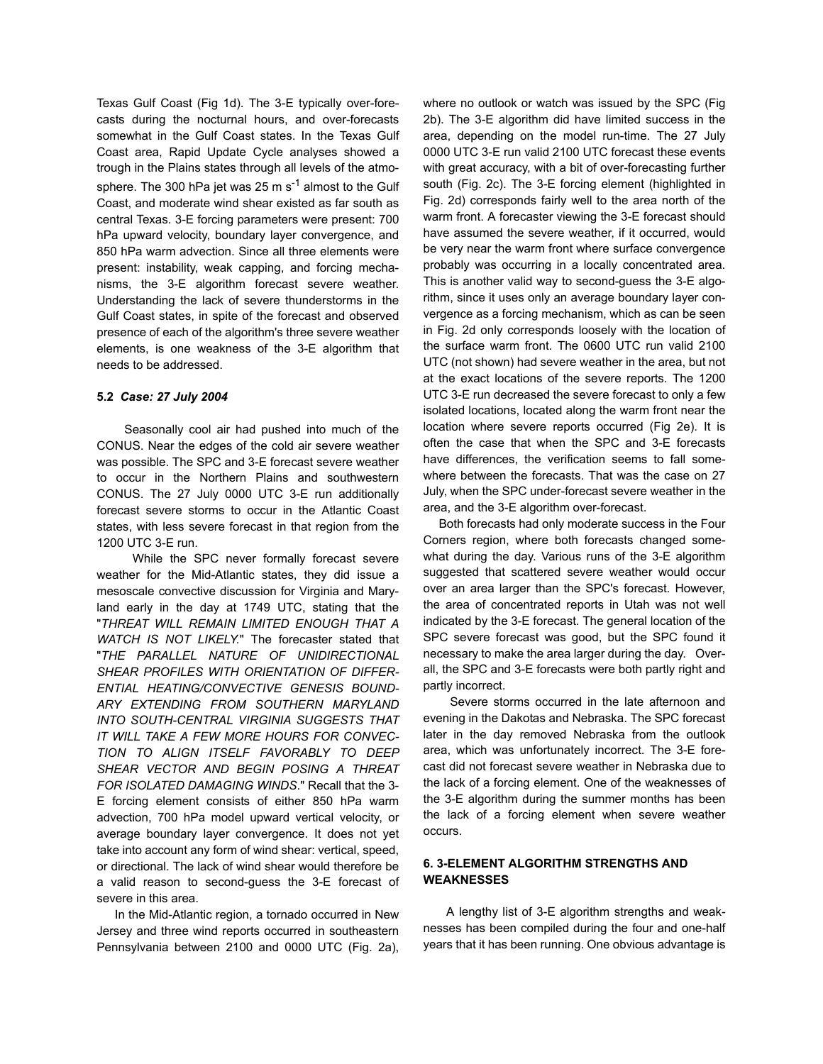Texas Gulf Coast (Fig 1d). The 3-E typically over-forecasts during the nocturnal hours, and over-forecasts somewhat in the Gulf Coast states. In the Texas Gulf Coast area, Rapid Update Cycle analyses showed a trough in the Plains states through all levels of the atmosphere. The 300 hPa jet was 25 m  $s^{-1}$  almost to the Gulf Coast, and moderate wind shear existed as far south as central Texas. 3-E forcing parameters were present: 700 hPa upward velocity, boundary layer convergence, and 850 hPa warm advection. Since all three elements were present: instability, weak capping, and forcing mechanisms, the 3-E algorithm forecast severe weather. Understanding the lack of severe thunderstorms in the Gulf Coast states, in spite of the forecast and observed presence of each of the algorithm's three severe weather elements, is one weakness of the 3-E algorithm that needs to be addressed.

### **5.2** *Case: 27 July 2004*

 Seasonally cool air had pushed into much of the CONUS. Near the edges of the cold air severe weather was possible. The SPC and 3-E forecast severe weather to occur in the Northern Plains and southwestern CONUS. The 27 July 0000 UTC 3-E run additionally forecast severe storms to occur in the Atlantic Coast states, with less severe forecast in that region from the 1200 UTC 3-E run.

 While the SPC never formally forecast severe weather for the Mid-Atlantic states, they did issue a mesoscale convective discussion for Virginia and Maryland early in the day at 1749 UTC, stating that the "*THREAT WILL REMAIN LIMITED ENOUGH THAT A WATCH IS NOT LIKELY.*" The forecaster stated that "*THE PARALLEL NATURE OF UNIDIRECTIONAL SHEAR PROFILES WITH ORIENTATION OF DIFFER-ENTIAL HEATING/CONVECTIVE GENESIS BOUND-ARY EXTENDING FROM SOUTHERN MARYLAND INTO SOUTH-CENTRAL VIRGINIA SUGGESTS THAT IT WILL TAKE A FEW MORE HOURS FOR CONVEC-TION TO ALIGN ITSELF FAVORABLY TO DEEP SHEAR VECTOR AND BEGIN POSING A THREAT FOR ISOLATED DAMAGING WINDS*." Recall that the 3- E forcing element consists of either 850 hPa warm advection, 700 hPa model upward vertical velocity, or average boundary layer convergence. It does not yet take into account any form of wind shear: vertical, speed, or directional. The lack of wind shear would therefore be a valid reason to second-guess the 3-E forecast of severe in this area.

 In the Mid-Atlantic region, a tornado occurred in New Jersey and three wind reports occurred in southeastern Pennsylvania between 2100 and 0000 UTC (Fig. 2a),

where no outlook or watch was issued by the SPC (Fig 2b). The 3-E algorithm did have limited success in the area, depending on the model run-time. The 27 July 0000 UTC 3-E run valid 2100 UTC forecast these events with great accuracy, with a bit of over-forecasting further south (Fig. 2c). The 3-E forcing element (highlighted in Fig. 2d) corresponds fairly well to the area north of the warm front. A forecaster viewing the 3-E forecast should have assumed the severe weather, if it occurred, would be very near the warm front where surface convergence probably was occurring in a locally concentrated area. This is another valid way to second-guess the 3-E algorithm, since it uses only an average boundary layer convergence as a forcing mechanism, which as can be seen in Fig. 2d only corresponds loosely with the location of the surface warm front. The 0600 UTC run valid 2100 UTC (not shown) had severe weather in the area, but not at the exact locations of the severe reports. The 1200 UTC 3-E run decreased the severe forecast to only a few isolated locations, located along the warm front near the location where severe reports occurred (Fig 2e). It is often the case that when the SPC and 3-E forecasts have differences, the verification seems to fall somewhere between the forecasts. That was the case on 27 July, when the SPC under-forecast severe weather in the area, and the 3-E algorithm over-forecast.

 Both forecasts had only moderate success in the Four Corners region, where both forecasts changed somewhat during the day. Various runs of the 3-E algorithm suggested that scattered severe weather would occur over an area larger than the SPC's forecast. However, the area of concentrated reports in Utah was not well indicated by the 3-E forecast. The general location of the SPC severe forecast was good, but the SPC found it necessary to make the area larger during the day. Overall, the SPC and 3-E forecasts were both partly right and partly incorrect.

 Severe storms occurred in the late afternoon and evening in the Dakotas and Nebraska. The SPC forecast later in the day removed Nebraska from the outlook area, which was unfortunately incorrect. The 3-E forecast did not forecast severe weather in Nebraska due to the lack of a forcing element. One of the weaknesses of the 3-E algorithm during the summer months has been the lack of a forcing element when severe weather occurs.

# **6. 3-ELEMENT ALGORITHM STRENGTHS AND WEAKNESSES**

 A lengthy list of 3-E algorithm strengths and weaknesses has been compiled during the four and one-half years that it has been running. One obvious advantage is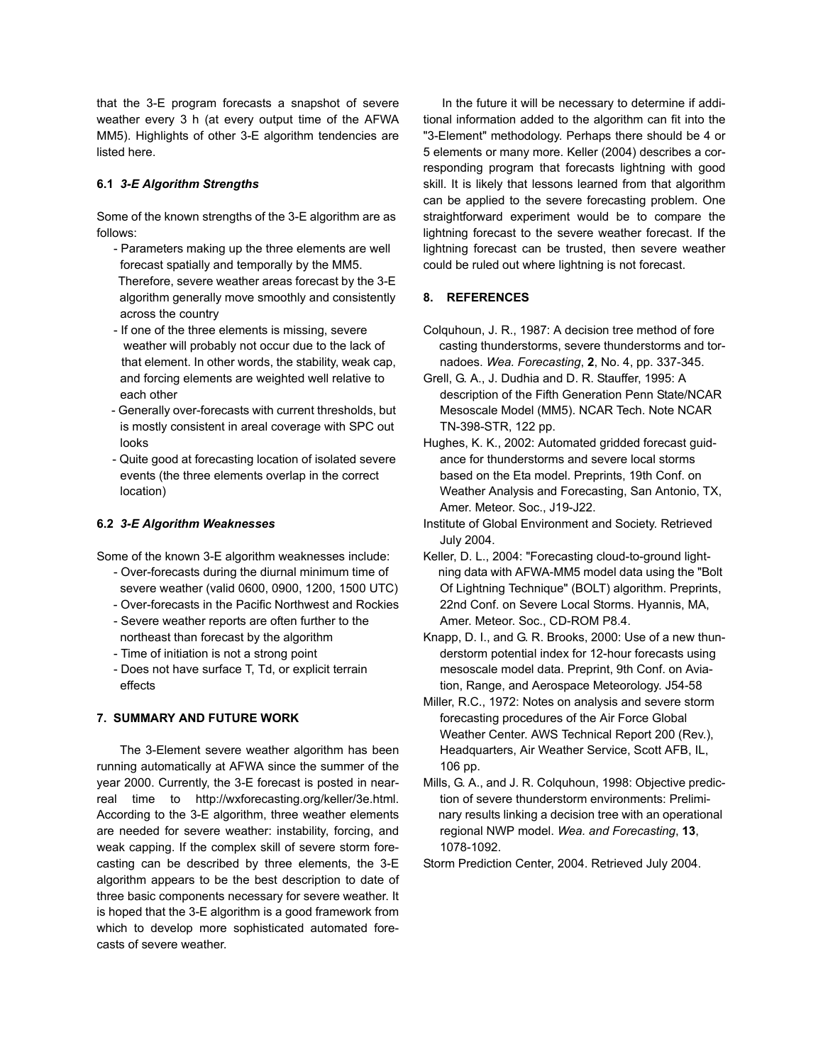that the 3-E program forecasts a snapshot of severe weather every 3 h (at every output time of the AFWA MM5). Highlights of other 3-E algorithm tendencies are listed here.

## **6.1** *3-E Algorithm Strengths*

Some of the known strengths of the 3-E algorithm are as follows:

- Parameters making up the three elements are well forecast spatially and temporally by the MM5. Therefore, severe weather areas forecast by the 3-E algorithm generally move smoothly and consistently across the country
- If one of the three elements is missing, severe weather will probably not occur due to the lack of that element. In other words, the stability, weak cap, and forcing elements are weighted well relative to each other
- Generally over-forecasts with current thresholds, but is mostly consistent in areal coverage with SPC out looks
- Quite good at forecasting location of isolated severe events (the three elements overlap in the correct location)

### **6.2** *3-E Algorithm Weaknesses*

Some of the known 3-E algorithm weaknesses include:

- Over-forecasts during the diurnal minimum time of severe weather (valid 0600, 0900, 1200, 1500 UTC)
- Over-forecasts in the Pacific Northwest and Rockies
- Severe weather reports are often further to the northeast than forecast by the algorithm
- Time of initiation is not a strong point
- Does not have surface T, Td, or explicit terrain effects

### **7. SUMMARY AND FUTURE WORK**

 The 3-Element severe weather algorithm has been running automatically at AFWA since the summer of the year 2000. Currently, the 3-E forecast is posted in nearreal time to http://wxforecasting.org/keller/3e.html. According to the 3-E algorithm, three weather elements are needed for severe weather: instability, forcing, and weak capping. If the complex skill of severe storm forecasting can be described by three elements, the 3-E algorithm appears to be the best description to date of three basic components necessary for severe weather. It is hoped that the 3-E algorithm is a good framework from which to develop more sophisticated automated forecasts of severe weather.

 In the future it will be necessary to determine if additional information added to the algorithm can fit into the "3-Element" methodology. Perhaps there should be 4 or 5 elements or many more. Keller (2004) describes a corresponding program that forecasts lightning with good skill. It is likely that lessons learned from that algorithm can be applied to the severe forecasting problem. One straightforward experiment would be to compare the lightning forecast to the severe weather forecast. If the lightning forecast can be trusted, then severe weather could be ruled out where lightning is not forecast.

# **8. REFERENCES**

- Colquhoun, J. R., 1987: A decision tree method of fore casting thunderstorms, severe thunderstorms and tor nadoes. *Wea. Forecasting*, **2**, No. 4, pp. 337-345.
- Grell, G. A., J. Dudhia and D. R. Stauffer, 1995: A description of the Fifth Generation Penn State/NCAR Mesoscale Model (MM5). NCAR Tech. Note NCAR TN-398-STR, 122 pp.
- Hughes, K. K., 2002: Automated gridded forecast guid ance for thunderstorms and severe local storms based on the Eta model. Preprints, 19th Conf. on Weather Analysis and Forecasting, San Antonio, TX, Amer. Meteor. Soc., J19-J22.
- Institute of Global Environment and Society. Retrieved July 2004.
- Keller, D. L., 2004: "Forecasting cloud-to-ground light ning data with AFWA-MM5 model data using the "Bolt Of Lightning Technique" (BOLT) algorithm. Preprints, 22nd Conf. on Severe Local Storms. Hyannis, MA, Amer. Meteor. Soc., CD-ROM P8.4.
- Knapp, D. I., and G. R. Brooks, 2000: Use of a new thun derstorm potential index for 12-hour forecasts using mesoscale model data. Preprint, 9th Conf. on Avia tion, Range, and Aerospace Meteorology. J54-58
- Miller, R.C., 1972: Notes on analysis and severe storm forecasting procedures of the Air Force Global Weather Center. AWS Technical Report 200 (Rev.), Headquarters, Air Weather Service, Scott AFB, IL, 106 pp.
- Mills, G. A., and J. R. Colquhoun, 1998: Objective predic tion of severe thunderstorm environments: Prelimi nary results linking a decision tree with an operational regional NWP model. *Wea. and Forecasting*, **13**, 1078-1092.
- Storm Prediction Center, 2004. Retrieved July 2004.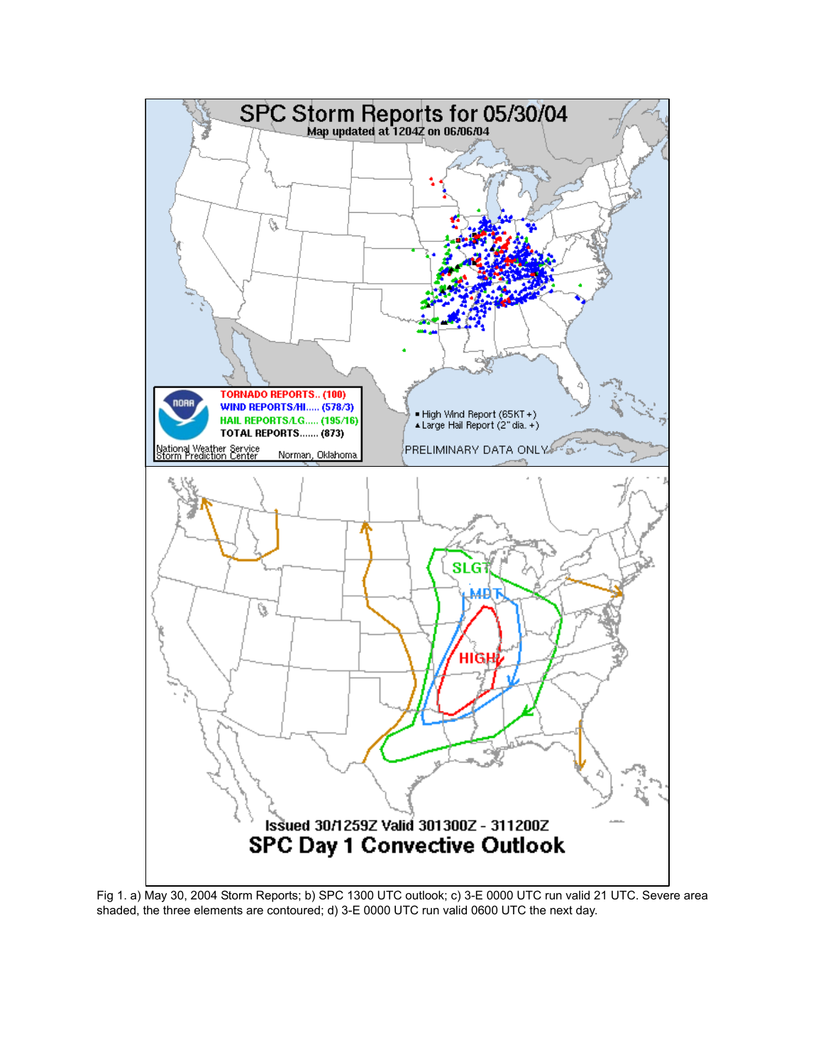

Fig 1. a) May 30, 2004 Storm Reports; b) SPC 1300 UTC outlook; c) 3-E 0000 UTC run valid 21 UTC. Severe area shaded, the three elements are contoured; d) 3-E 0000 UTC run valid 0600 UTC the next day.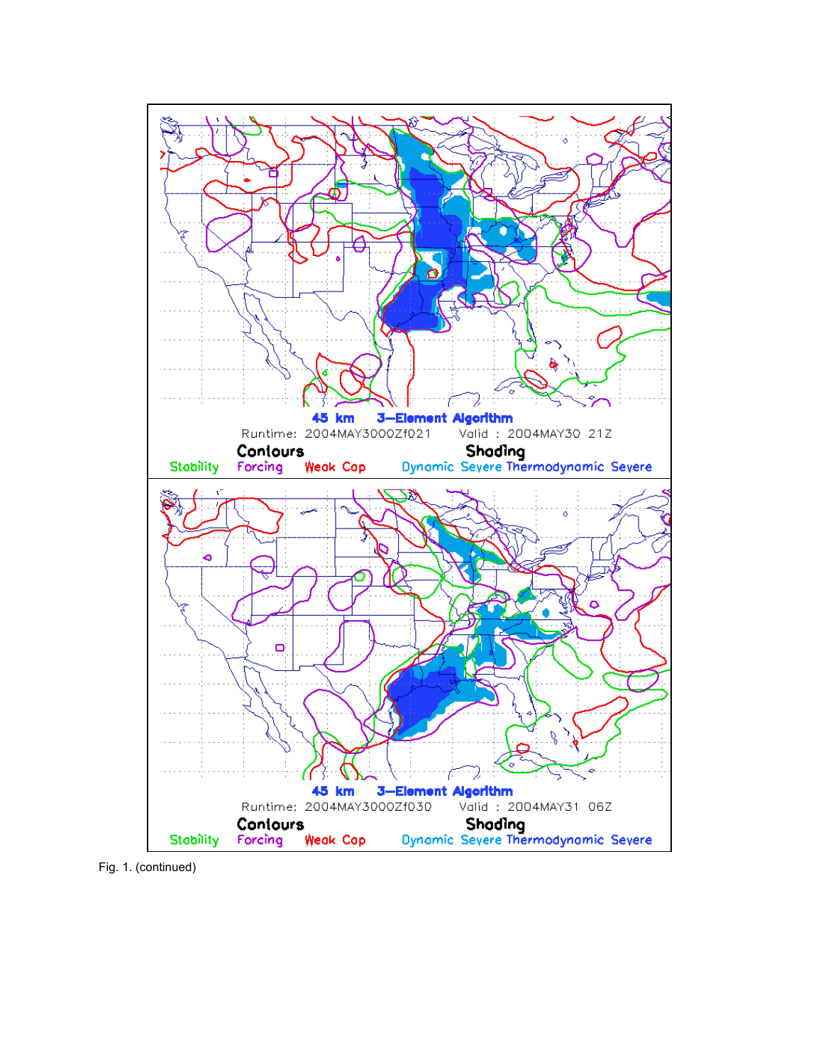

Fig. 1. (continued)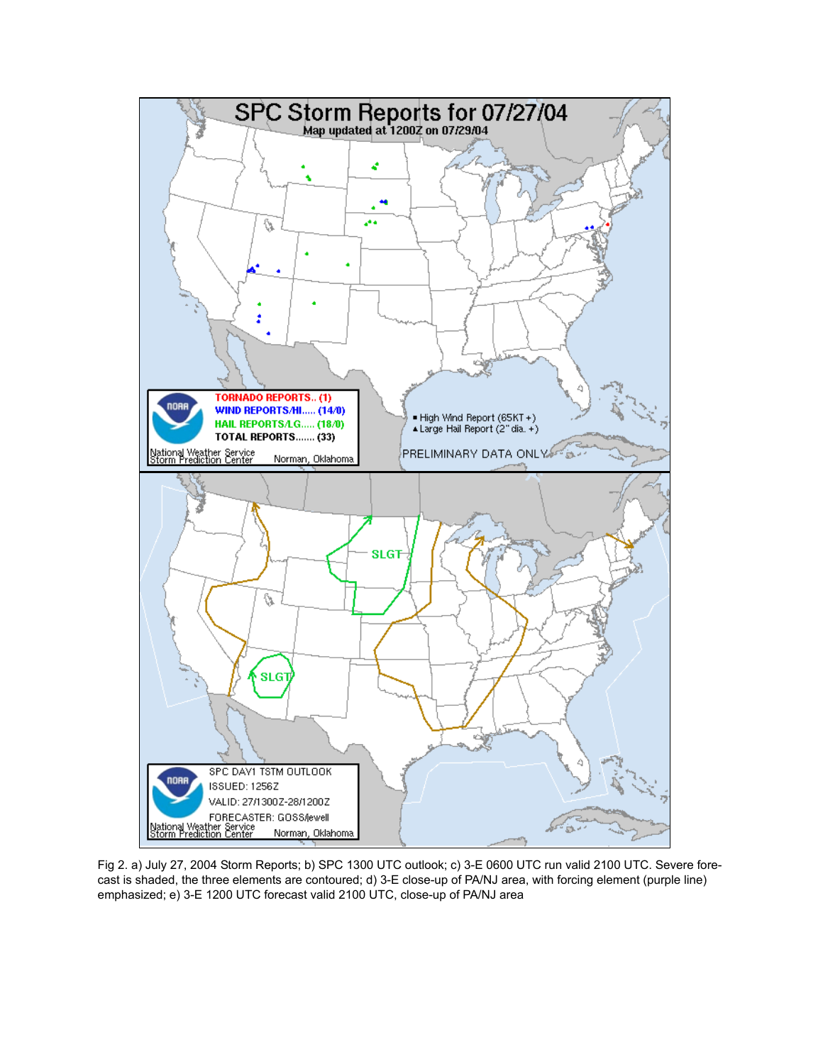

Fig 2. a) July 27, 2004 Storm Reports; b) SPC 1300 UTC outlook; c) 3-E 0600 UTC run valid 2100 UTC. Severe forecast is shaded, the three elements are contoured; d) 3-E close-up of PA/NJ area, with forcing element (purple line) emphasized; e) 3-E 1200 UTC forecast valid 2100 UTC, close-up of PA/NJ area